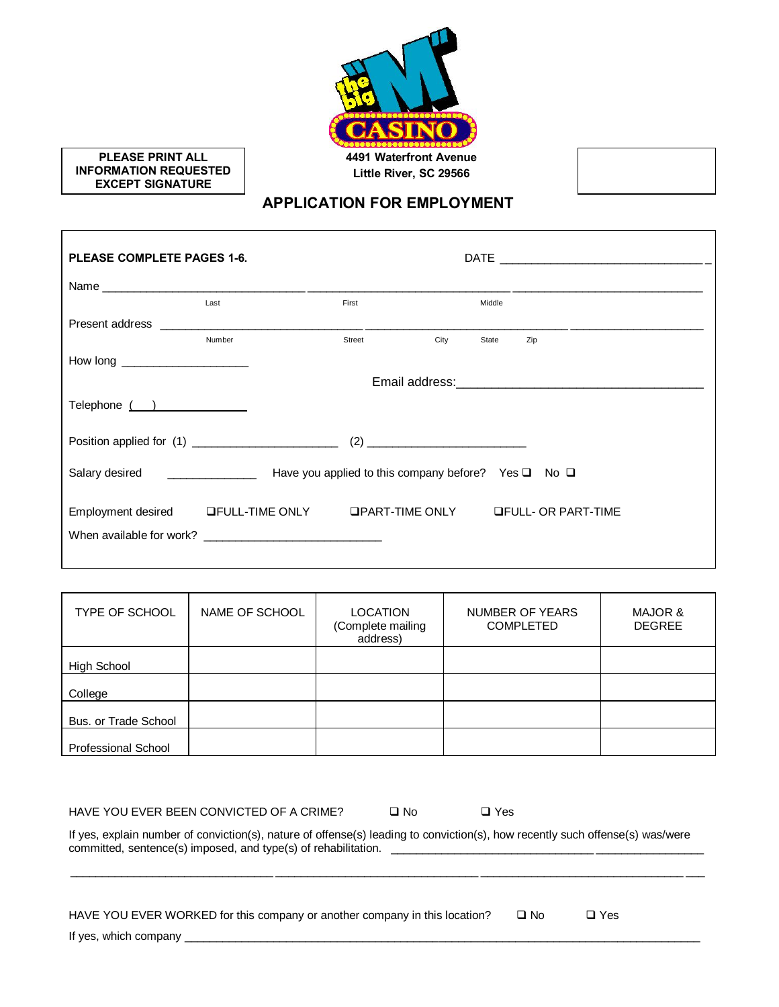

**PLEASE PRINT ALL INFORMATION REQUESTED EXCEPT SIGNATURE**

 $\mathsf{r}$ 

### **APPLICATION FOR EMPLOYMENT**

٦

| PLEASE COMPLETE PAGES 1-6.         |                                                    |        |      |        |                            |
|------------------------------------|----------------------------------------------------|--------|------|--------|----------------------------|
|                                    |                                                    |        |      |        |                            |
|                                    | Last                                               | First  |      | Middle |                            |
|                                    |                                                    |        |      |        |                            |
|                                    | Number                                             | Street | City | State  | Zip                        |
| How long _________________________ |                                                    |        |      |        |                            |
|                                    |                                                    |        |      |        |                            |
| Telephone ()                       |                                                    |        |      |        |                            |
|                                    |                                                    |        |      |        |                            |
|                                    |                                                    |        |      |        |                            |
|                                    | Employment desired LFULL-TIME ONLY LPART-TIME ONLY |        |      |        | <b>OFULL- OR PART-TIME</b> |
|                                    |                                                    |        |      |        |                            |

| TYPE OF SCHOOL       | NAME OF SCHOOL | <b>LOCATION</b><br>(Complete mailing<br>address) | NUMBER OF YEARS<br><b>COMPLETED</b> | MAJOR &<br><b>DEGREE</b> |
|----------------------|----------------|--------------------------------------------------|-------------------------------------|--------------------------|
| High School          |                |                                                  |                                     |                          |
| College              |                |                                                  |                                     |                          |
| Bus. or Trade School |                |                                                  |                                     |                          |
| Professional School  |                |                                                  |                                     |                          |

| HAVE YOU EVER BEEN CONVICTED OF A CRIME?                                                                                      | $\square$ No | $\Box$ Yes |               |  |  |  |
|-------------------------------------------------------------------------------------------------------------------------------|--------------|------------|---------------|--|--|--|
| If yes, explain number of conviction(s), nature of offense(s) leading to conviction(s), how recently such offense(s) was/were |              |            |               |  |  |  |
| HAVE YOU EVER WORKED for this company or another company in this location?                                                    |              | $\Box$ No  | $\square$ Yes |  |  |  |
| If yes, which company                                                                                                         |              |            |               |  |  |  |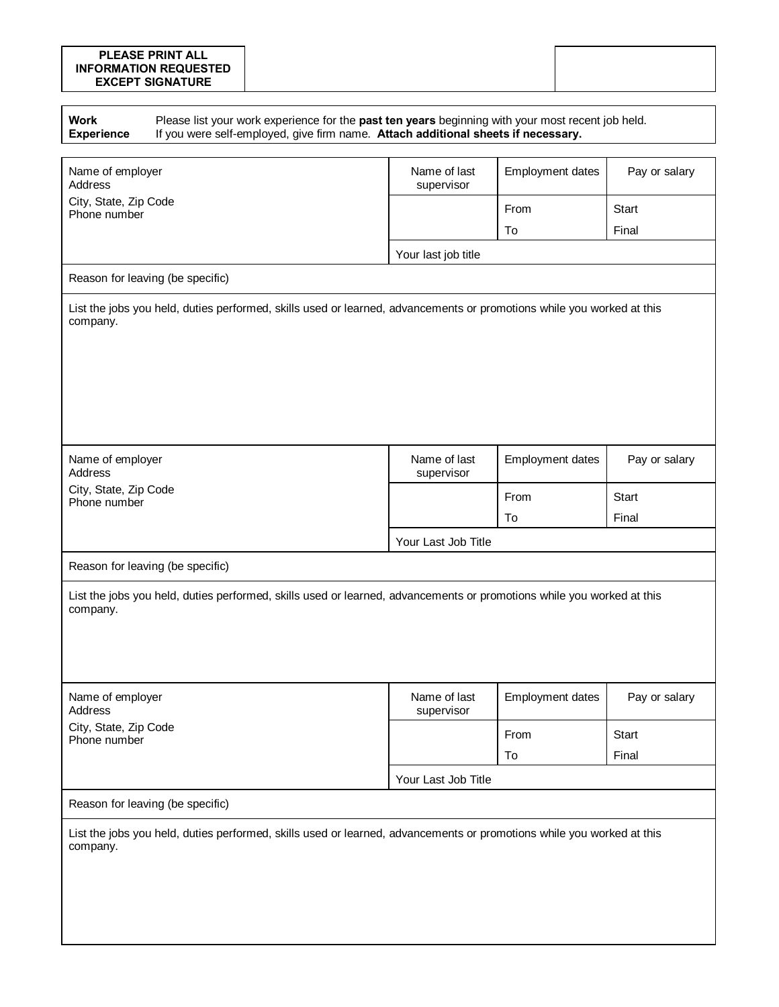#### **PLEASE PRINT ALL INFORMATION REQUESTED EXCEPT SIGNATURE**

| <b>Work</b><br><b>Experience</b>                                     | Please list your work experience for the past ten years beginning with your most recent job held.<br>If you were self-employed, give firm name. Attach additional sheets if necessary. |                            |                  |               |  |  |  |
|----------------------------------------------------------------------|----------------------------------------------------------------------------------------------------------------------------------------------------------------------------------------|----------------------------|------------------|---------------|--|--|--|
| Name of employer<br>Address<br>City, State, Zip Code<br>Phone number |                                                                                                                                                                                        | Name of last<br>supervisor | Employment dates | Pay or salary |  |  |  |
|                                                                      |                                                                                                                                                                                        |                            | From             | Start         |  |  |  |
|                                                                      |                                                                                                                                                                                        |                            | To               | Final         |  |  |  |
|                                                                      |                                                                                                                                                                                        | Your last job title        |                  |               |  |  |  |
| Reason for leaving (be specific)                                     |                                                                                                                                                                                        |                            |                  |               |  |  |  |
| company.                                                             | List the jobs you held, duties performed, skills used or learned, advancements or promotions while you worked at this                                                                  |                            |                  |               |  |  |  |
| Name of employer<br>Address                                          |                                                                                                                                                                                        | Name of last<br>supervisor | Employment dates | Pay or salary |  |  |  |
| City, State, Zip Code<br>Phone number                                |                                                                                                                                                                                        |                            | From             | Start         |  |  |  |
|                                                                      |                                                                                                                                                                                        |                            | To               | Final         |  |  |  |
|                                                                      |                                                                                                                                                                                        | Your Last Job Title        |                  |               |  |  |  |
| Reason for leaving (be specific)                                     |                                                                                                                                                                                        |                            |                  |               |  |  |  |
| company.                                                             | List the jobs you held, duties performed, skills used or learned, advancements or promotions while you worked at this                                                                  |                            |                  |               |  |  |  |
| Name of employer<br>Address<br>City, State, Zip Code<br>Phone number |                                                                                                                                                                                        | Name of last<br>supervisor | Employment dates | Pay or salary |  |  |  |
|                                                                      |                                                                                                                                                                                        |                            | From             | Start         |  |  |  |
|                                                                      |                                                                                                                                                                                        |                            | To               | Final         |  |  |  |
|                                                                      |                                                                                                                                                                                        | Your Last Job Title        |                  |               |  |  |  |
| Reason for leaving (be specific)                                     |                                                                                                                                                                                        |                            |                  |               |  |  |  |
| company.                                                             | List the jobs you held, duties performed, skills used or learned, advancements or promotions while you worked at this                                                                  |                            |                  |               |  |  |  |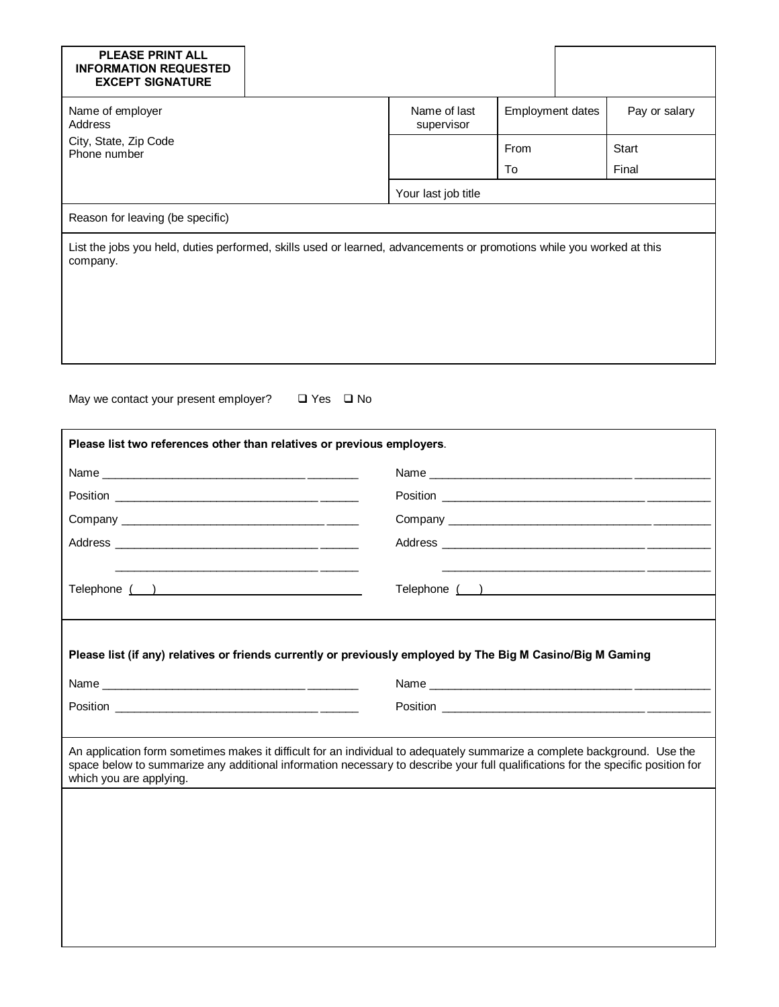| <b>PLEASE PRINT ALL</b><br><b>INFORMATION REQUESTED</b><br><b>EXCEPT SIGNATURE</b>                                                                                                                                                                                                       |                      |                            |                         |  |               |  |
|------------------------------------------------------------------------------------------------------------------------------------------------------------------------------------------------------------------------------------------------------------------------------------------|----------------------|----------------------------|-------------------------|--|---------------|--|
| Name of employer<br>Address                                                                                                                                                                                                                                                              |                      | Name of last<br>supervisor | <b>Employment dates</b> |  | Pay or salary |  |
| City, State, Zip Code<br>Phone number                                                                                                                                                                                                                                                    |                      |                            | From                    |  | <b>Start</b>  |  |
|                                                                                                                                                                                                                                                                                          |                      |                            | To                      |  | Final         |  |
|                                                                                                                                                                                                                                                                                          |                      | Your last job title        |                         |  |               |  |
| Reason for leaving (be specific)                                                                                                                                                                                                                                                         |                      |                            |                         |  |               |  |
| List the jobs you held, duties performed, skills used or learned, advancements or promotions while you worked at this<br>company.                                                                                                                                                        |                      |                            |                         |  |               |  |
| May we contact your present employer?<br>Please list two references other than relatives or previous employers.                                                                                                                                                                          | $\Box$ Yes $\Box$ No |                            |                         |  |               |  |
|                                                                                                                                                                                                                                                                                          |                      |                            |                         |  |               |  |
|                                                                                                                                                                                                                                                                                          |                      |                            |                         |  |               |  |
|                                                                                                                                                                                                                                                                                          |                      |                            |                         |  |               |  |
|                                                                                                                                                                                                                                                                                          |                      |                            |                         |  |               |  |
|                                                                                                                                                                                                                                                                                          |                      |                            |                         |  |               |  |
| Telephone ( )                                                                                                                                                                                                                                                                            |                      | Telephone ( )              |                         |  |               |  |
| Please list (if any) relatives or friends currently or previously employed by The Big M Casino/Big M Gaming                                                                                                                                                                              |                      |                            |                         |  |               |  |
|                                                                                                                                                                                                                                                                                          |                      |                            |                         |  |               |  |
|                                                                                                                                                                                                                                                                                          |                      |                            |                         |  |               |  |
| An application form sometimes makes it difficult for an individual to adequately summarize a complete background. Use the<br>space below to summarize any additional information necessary to describe your full qualifications for the specific position for<br>which you are applying. |                      |                            |                         |  |               |  |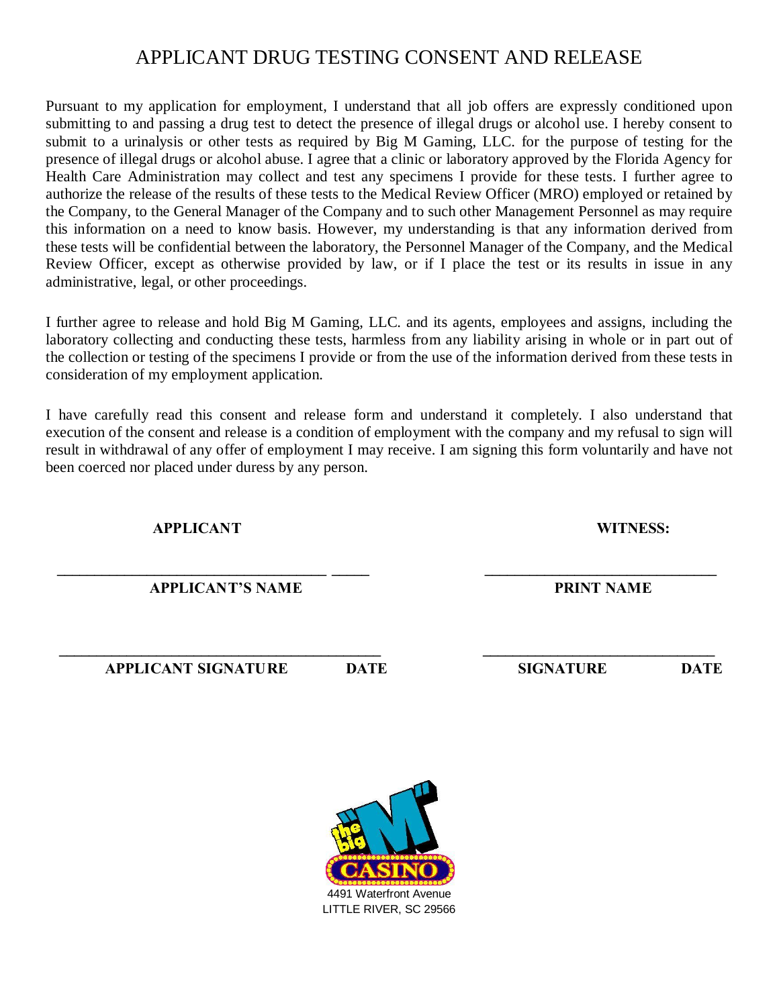### APPLICANT DRUG TESTING CONSENT AND RELEASE

Pursuant to my application for employment, I understand that all job offers are expressly conditioned upon submitting to and passing a drug test to detect the presence of illegal drugs or alcohol use. I hereby consent to submit to a urinalysis or other tests as required by Big M Gaming, LLC. for the purpose of testing for the presence of illegal drugs or alcohol abuse. I agree that a clinic or laboratory approved by the Florida Agency for Health Care Administration may collect and test any specimens I provide for these tests. I further agree to authorize the release of the results of these tests to the Medical Review Officer (MRO) employed or retained by the Company, to the General Manager of the Company and to such other Management Personnel as may require this information on a need to know basis. However, my understanding is that any information derived from these tests will be confidential between the laboratory, the Personnel Manager of the Company, and the Medical Review Officer, except as otherwise provided by law, or if I place the test or its results in issue in any administrative, legal, or other proceedings.

I further agree to release and hold Big M Gaming, LLC. and its agents, employees and assigns, including the laboratory collecting and conducting these tests, harmless from any liability arising in whole or in part out of the collection or testing of the specimens I provide or from the use of the information derived from these tests in consideration of my employment application.

I have carefully read this consent and release form and understand it completely. I also understand that execution of the consent and release is a condition of employment with the company and my refusal to sign will result in withdrawal of any offer of employment I may receive. I am signing this form voluntarily and have not been coerced nor placed under duress by any person.

**APPLICANT WITNESS:**

 **APPLICANT'S NAME PRINT NAME**

 **APPLICANT SIGNATURE DATE SIGNATURE DATE**

**\_\_\_\_\_\_\_\_\_\_\_\_\_\_\_\_\_\_\_\_\_\_\_\_\_\_\_\_\_\_\_\_\_\_\_\_\_\_\_\_\_\_\_ \_\_\_\_\_\_\_\_\_\_\_\_\_\_\_\_\_\_\_\_\_\_\_\_\_\_\_\_\_\_\_**



**\_\_\_\_\_\_\_\_\_\_\_\_\_\_\_\_\_\_\_\_\_\_\_\_\_\_\_\_\_\_\_\_\_\_\_\_ \_\_\_\_\_ \_\_\_\_\_\_\_\_\_\_\_\_\_\_\_\_\_\_\_\_\_\_\_\_\_\_\_\_\_\_\_**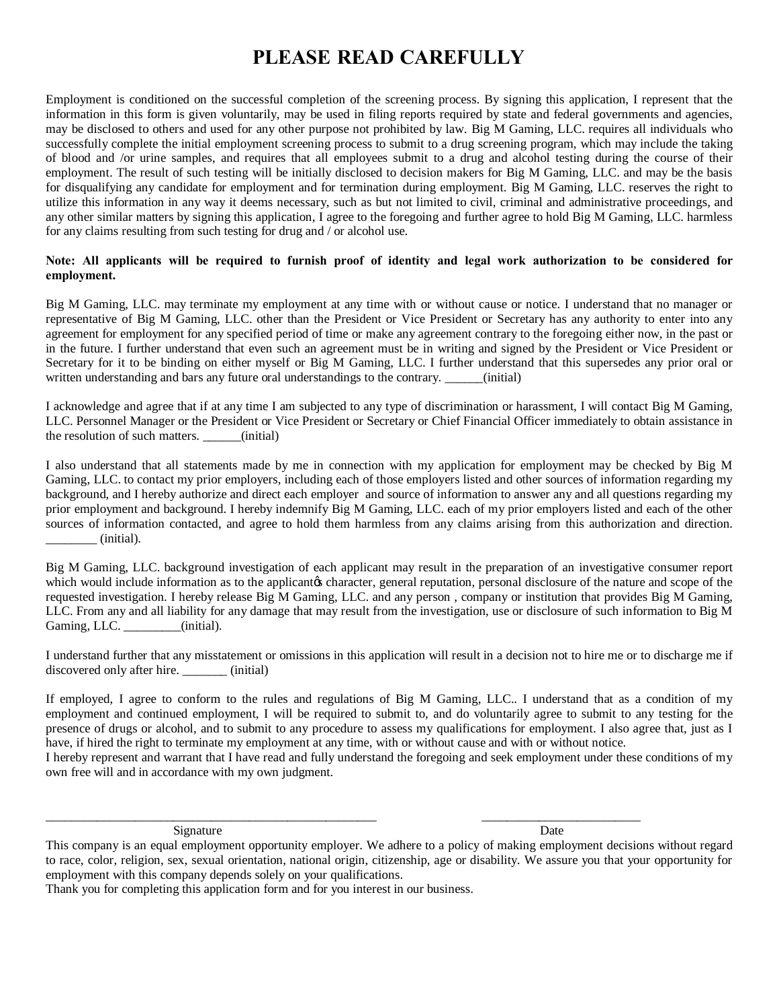## **PLEASE READ CAREFULLY**

Employment is conditioned on the successful completion of the screening process. By signing this application, I represent that the information in this form is given voluntarily, may be used in filing reports required by state and federal governments and agencies, may be disclosed to others and used for any other purpose not prohibited by law. Big M Gaming, LLC. requires all individuals who successfully complete the initial employment screening process to submit to a drug screening program, which may include the taking of blood and /or urine samples, and requires that all employees submit to a drug and alcohol testing during the course of their employment. The result of such testing will be initially disclosed to decision makers for Big M Gaming, LLC. and may be the basis for disqualifying any candidate for employment and for termination during employment. Big M Gaming, LLC. reserves the right to utilize this information in any way it deems necessary, such as but not limited to civil, criminal and administrative proceedings, and any other similar matters by signing this application, I agree to the foregoing and further agree to hold Big M Gaming, LLC. harmless for any claims resulting from such testing for drug and / or alcohol use.

#### **Note: All applicants will be required to furnish proof of identity and legal work authorization to be considered for employment.**

Big M Gaming, LLC. may terminate my employment at any time with or without cause or notice. I understand that no manager or representative of Big M Gaming, LLC. other than the President or Vice President or Secretary has any authority to enter into any agreement for employment for any specified period of time or make any agreement contrary to the foregoing either now, in the past or in the future. I further understand that even such an agreement must be in writing and signed by the President or Vice President or Secretary for it to be binding on either myself or Big M Gaming, LLC. I further understand that this supersedes any prior oral or written understanding and bars any future oral understandings to the contrary. \_\_\_\_\_(initial)

I acknowledge and agree that if at any time I am subjected to any type of discrimination or harassment, I will contact Big M Gaming, LLC. Personnel Manager or the President or Vice President or Secretary or Chief Financial Officer immediately to obtain assistance in the resolution of such matters. \_\_\_\_\_\_(initial)

I also understand that all statements made by me in connection with my application for employment may be checked by Big M Gaming, LLC. to contact my prior employers, including each of those employers listed and other sources of information regarding my background, and I hereby authorize and direct each employer and source of information to answer any and all questions regarding my prior employment and background. I hereby indemnify Big M Gaming, LLC. each of my prior employers listed and each of the other sources of information contacted, and agree to hold them harmless from any claims arising from this authorization and direction. \_\_\_\_\_\_\_\_ (initial).

Big M Gaming, LLC. background investigation of each applicant may result in the preparation of an investigative consumer report which would include information as to the applicant ts character, general reputation, personal disclosure of the nature and scope of the requested investigation. I hereby release Big M Gaming, LLC. and any person , company or institution that provides Big M Gaming, LLC. From any and all liability for any damage that may result from the investigation, use or disclosure of such information to Big M Gaming, LLC. (initial).

I understand further that any misstatement or omissions in this application will result in a decision not to hire me or to discharge me if discovered only after hire. \_\_\_\_\_\_\_ (initial)

If employed, I agree to conform to the rules and regulations of Big M Gaming, LLC.. I understand that as a condition of my employment and continued employment, I will be required to submit to, and do voluntarily agree to submit to any testing for the presence of drugs or alcohol, and to submit to any procedure to assess my qualifications for employment. I also agree that, just as I have, if hired the right to terminate my employment at any time, with or without cause and with or without notice. I hereby represent and warrant that I have read and fully understand the foregoing and seek employment under these conditions of my

own free will and in accordance with my own judgment.

Signature Date Date Date Date Date

\_\_\_\_\_\_\_\_\_\_\_\_\_\_\_\_\_\_\_\_\_\_\_\_\_\_\_\_\_\_\_\_\_\_\_\_\_\_\_\_\_\_\_\_\_\_\_\_\_\_\_\_ \_\_\_\_\_\_\_\_\_\_\_\_\_\_\_\_\_\_\_\_\_\_\_\_\_

This company is an equal employment opportunity employer. We adhere to a policy of making employment decisions without regard to race, color, religion, sex, sexual orientation, national origin, citizenship, age or disability. We assure you that your opportunity for employment with this company depends solely on your qualifications.

Thank you for completing this application form and for you interest in our business.